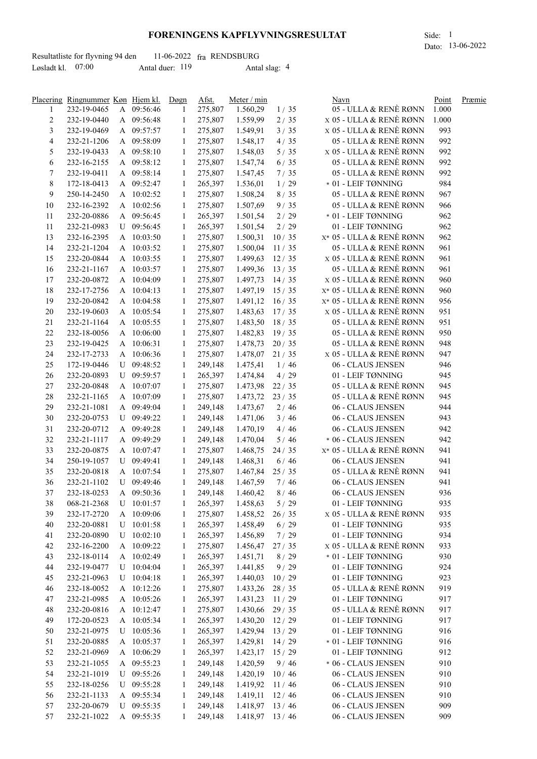## **FORENINGENS KAPFLYVNINGSRESULTAT** Side: 1

Dato: 13-06-2022

|                     | Resultatliste for flyvning 94 den |                 | $11-06-2022$ fra RENDSBURG |  |
|---------------------|-----------------------------------|-----------------|----------------------------|--|
| Løsladt kl. $07:00$ |                                   | Antal duer: 119 | Antal slag: 4              |  |

|                | Placering Ringnummer Køn Hjem kl. |              | Døgn         | Afst.   | Meter / min         |        | Navn                        | Point      | Præmie |
|----------------|-----------------------------------|--------------|--------------|---------|---------------------|--------|-----------------------------|------------|--------|
| 1              | 232-19-0465                       | A 09:56:46   | 1            | 275,807 | 1.560,29            | 1/35   | 05 - ULLA & RENÈ RØNN       | 1.000      |        |
| $\overline{c}$ | 232-19-0440                       | A 09:56:48   | $\mathbf{1}$ | 275,807 | 1.559,99            | 2/35   | x 05 - ULLA & RENÈ RØNN     | 1.000      |        |
| 3              | 232-19-0469                       | A 09:57:57   | 1            | 275,807 | 1.549,91            | 3/35   | x 05 - ULLA & RENÈ RØNN     | 993        |        |
| $\overline{4}$ | 232-21-1206                       | A 09:58:09   | 1            | 275,807 | 1.548,17            | 4/35   | 05 - ULLA & RENÈ RØNN       | 992        |        |
| 5              | 232-19-0433                       | A 09:58:10   | 1            | 275,807 | 1.548,03            | $5/35$ | x 05 - ULLA & RENÈ RØNN     | 992        |        |
| 6              | 232-16-2155                       | A 09:58:12   | 1            | 275,807 | 1.547,74            | 6/35   | 05 - ULLA & RENÈ RØNN       | 992        |        |
| 7              | 232-19-0411                       | A 09:58:14   | $\mathbf{1}$ | 275,807 | 1.547,45            | 7/35   | 05 - ULLA & RENÈ RØNN       | 992        |        |
| 8              | 172-18-0413                       | A 09:52:47   | 1            | 265,397 | 1.536,01            | 1/29   | $\,^*$ 01 - LEIF TØNNING    | 984        |        |
| 9              | 250-14-2450                       | A 10:02:52   | $\mathbf{1}$ | 275,807 | 1.508,24            | 8/35   | 05 - ULLA & RENÈ RØNN       | 967        |        |
| 10             | 232-16-2392                       | A 10:02:56   | $\mathbf{1}$ | 275,807 | 1.507,69            | 9/35   | 05 - ULLA & RENÈ RØNN       | 966        |        |
| 11             | 232-20-0886                       | A 09:56:45   | $\mathbf{1}$ | 265,397 | 1.501,54            | 2/29   | * 01 - LEIF TØNNING         | 962        |        |
| 11             | 232-21-0983                       | U 09:56:45   | $\mathbf{1}$ | 265,397 | 1.501,54            | 2/29   | 01 - LEIF TØNNING           | 962        |        |
| 13             | 232-16-2395                       | A 10:03:50   | 1            | 275,807 | $1.500,31$ 10 / 35  |        | x* 05 - ULLA & RENÈ RØNN    | 962        |        |
| 14             | 232-21-1204                       | A 10:03:52   | 1            | 275,807 | 1.500,04            | 11/35  | 05 - ULLA & RENÈ RØNN       | 961        |        |
| 15             | 232-20-0844                       | A 10:03:55   | $\mathbf{1}$ | 275,807 | $1.499,63$ $12/35$  |        | x 05 - ULLA & RENÈ RØNN     | 961        |        |
|                |                                   |              |              | 275,807 | $1.499,36$ 13 / 35  |        | 05 - ULLA & RENÈ RØNN       | 961        |        |
| 16             | 232-21-1167                       | A 10:03:57   | 1            |         |                     |        | x 05 - ULLA & RENÈ RØNN     |            |        |
| 17             | 232-20-0872                       | A 10:04:09   | $\mathbf{1}$ | 275,807 | $1.497,73$ 14/35    |        |                             | 960        |        |
| 18             | 232-17-2756                       | A 10:04:13   | $\mathbf{1}$ | 275,807 | $1.497,19$ 15 / 35  |        | $X^*$ 05 - ULLA & RENÈ RØNN | 960        |        |
| 19             | 232-20-0842                       | A 10:04:58   | $\mathbf{1}$ | 275,807 | $1.491, 12$ $16/35$ |        | X* 05 - ULLA & RENÈ RØNN    | 956        |        |
| 20             | 232-19-0603                       | A 10:05:54   | $\mathbf{1}$ | 275,807 | 1.483,63 17/35      |        | x 05 - ULLA & RENÈ RØNN     | 951        |        |
| 21             | 232-21-1164                       | A 10:05:55   | $\mathbf{1}$ | 275,807 | $1.483,50$ 18 / 35  |        | 05 - ULLA & RENÈ RØNN       | 951        |        |
| 22             | 232-18-0056                       | A 10:06:00   | $\mathbf{1}$ | 275,807 | $1.482,83$ 19 / 35  |        | 05 - ULLA & RENÈ RØNN       | 950        |        |
| 23             | 232-19-0425                       | A 10:06:31   | 1            | 275,807 | $1.478,73$ 20 / 35  |        | 05 - ULLA & RENÈ RØNN       | 948        |        |
| 24             | 232-17-2733                       | A 10:06:36   | 1            | 275,807 | $1.478,07$ 21/35    |        | x 05 - ULLA & RENÈ RØNN     | 947        |        |
| 25             | 172-19-0446                       | U 09:48:52   | 1            | 249,148 | 1.475,41            | 1/46   | 06 - CLAUS JENSEN           | 946        |        |
| 26             | 232-20-0893                       | U 09:59:57   | 1            | 265,397 | 1.474,84            | 4/29   | 01 - LEIF TØNNING           | 945        |        |
| 27             | 232-20-0848                       | A 10:07:07   | 1            | 275,807 | 1.473,98            | 22/35  | 05 - ULLA & RENÈ RØNN       | 945        |        |
| 28             | 232-21-1165                       | A 10:07:09   | 1            | 275,807 | $1.473,72$ 23 / 35  |        | 05 - ULLA & RENÈ RØNN       | 945        |        |
| 29             | 232-21-1081                       | A 09:49:04   | 1            | 249,148 | 1.473,67            | 2/46   | 06 - CLAUS JENSEN           | 944        |        |
| 30             | 232-20-0753                       | U 09:49:22   | 1            | 249,148 | 1.471,06            | 3/46   | 06 - CLAUS JENSEN           | 943        |        |
| 31             | 232-20-0712                       | A 09:49:28   | -1           | 249,148 | 1.470,19            | 4/46   | 06 - CLAUS JENSEN           | 942        |        |
| 32             | 232-21-1117                       | A 09:49:29   | 1            | 249,148 | 1.470,04            | $5/46$ | * 06 - CLAUS JENSEN         | 942        |        |
| 33             | 232-20-0875                       | A 10:07:47   | 1            | 275,807 | 1.468,75            | 24/35  | $X^*$ 05 - ULLA & RENÈ RØNN | 941        |        |
| 34             | 250-19-1057                       | U 09:49:41   | -1           | 249,148 | 1.468,31            | 6/46   | 06 - CLAUS JENSEN           | 941        |        |
| 35             | 232-20-0818                       | A 10:07:54   | -1           | 275,807 | $1.467,84$ 25 / 35  |        | 05 - ULLA & RENÈ RØNN       | 941        |        |
| 36             | 232-21-1102                       | U 09:49:46   | -1           | 249,148 | 1.467,59            | 7/46   | 06 - CLAUS JENSEN           | 941        |        |
| 37             | 232-18-0253                       | A 09:50:36   | -1           | 249,148 | 1.460,42            | 8/46   | 06 - CLAUS JENSEN           | 936        |        |
| 38             | 068-21-2368                       | U 10:01:57   |              | 265,397 | 1.458,63            | 5/29   | 01 - LEIF TØNNING           | 935        |        |
| 39             | 232-17-2720                       | A 10:09:06   | -1           | 275,807 | 1.458,52            | 26/35  | x 05 - ULLA & RENÈ RØNN     | 935        |        |
| 40             | 232-20-0881                       | $U$ 10:01:58 | -1           | 265,397 | 1.458,49            | $6/29$ | 01 - LEIF TØNNING           | 935        |        |
| 41             | 232-20-0890                       | $U$ 10:02:10 | -1           | 265,397 | 1.456,89            | 7/29   | 01 - LEIF TØNNING           | 934        |        |
|                | 232-16-2200                       |              |              |         |                     | 27/35  | x 05 - ULLA & RENÈ RØNN     |            |        |
| 42             |                                   | A 10:09:22   | -1           | 275,807 | 1.456,47            |        |                             | 933<br>930 |        |
| 43             | 232-18-0114                       | A 10:02:49   | -1           | 265,397 | 1.451,71            | 8/29   | * 01 - LEIF TØNNING         |            |        |
| 44             | 232-19-0477                       | $U$ 10:04:04 | -1           | 265,397 | 1.441,85            | 9/29   | 01 - LEIF TØNNING           | 924        |        |
| 45             | 232-21-0963                       | $U$ 10:04:18 | -1           | 265,397 | 1.440,03            | 10/29  | 01 - LEIF TØNNING           | 923        |        |
| 46             | 232-18-0052                       | A 10:12:26   | -1           | 275,807 | 1.433,26            | 28/35  | 05 - ULLA & RENÈ RØNN       | 919        |        |
| 47             | 232-21-0985                       | A 10:05:26   | -1           | 265,397 | $1.431,23$ $11/29$  |        | 01 - LEIF TØNNING           | 917        |        |
| 48             | 232-20-0816                       | A 10:12:47   | 1            | 275,807 | 1.430,66 29 / 35    |        | 05 - ULLA & RENÈ RØNN       | 917        |        |
| 49             | 172-20-0523                       | A 10:05:34   | -1           | 265,397 | $1.430,20$ $12/29$  |        | 01 - LEIF TØNNING           | 917        |        |
| 50             | 232-21-0975                       | $U$ 10:05:36 | 1            | 265,397 | 1.429,94 13 / 29    |        | 01 - LEIF TØNNING           | 916        |        |
| 51             | 232-20-0885                       | A 10:05:37   | 1            | 265,397 | 1.429,81 14/29      |        | * 01 - LEIF TØNNING         | 916        |        |
| 52             | 232-21-0969                       | A 10:06:29   | 1            | 265,397 | $1.423, 17$ 15 / 29 |        | 01 - LEIF TØNNING           | 912        |        |
| 53             | 232-21-1055                       | A 09:55:23   | -1           | 249,148 | 1.420,59            | 9/46   | * 06 - CLAUS JENSEN         | 910        |        |
| 54             | 232-21-1019                       | $U$ 09:55:26 | -1           | 249,148 | $1.420,19$ 10 / 46  |        | 06 - CLAUS JENSEN           | 910        |        |
| 55             | 232-18-0256                       | $U$ 09:55:28 | -1           | 249,148 | 1.419,92            | 11/46  | 06 - CLAUS JENSEN           | 910        |        |
| 56             | 232-21-1133                       | A 09:55:34   | -1           | 249,148 | $1.419,11$ $12/46$  |        | 06 - CLAUS JENSEN           | 910        |        |
| 57             | 232-20-0679                       | $U$ 09:55:35 | -1           | 249,148 | $1.418,97$ 13/46    |        | 06 - CLAUS JENSEN           | 909        |        |
| 57             | 232-21-1022                       | A 09:55:35   | 1            | 249,148 | $1.418,97$ 13 / 46  |        | 06 - CLAUS JENSEN           | 909        |        |
|                |                                   |              |              |         |                     |        |                             |            |        |